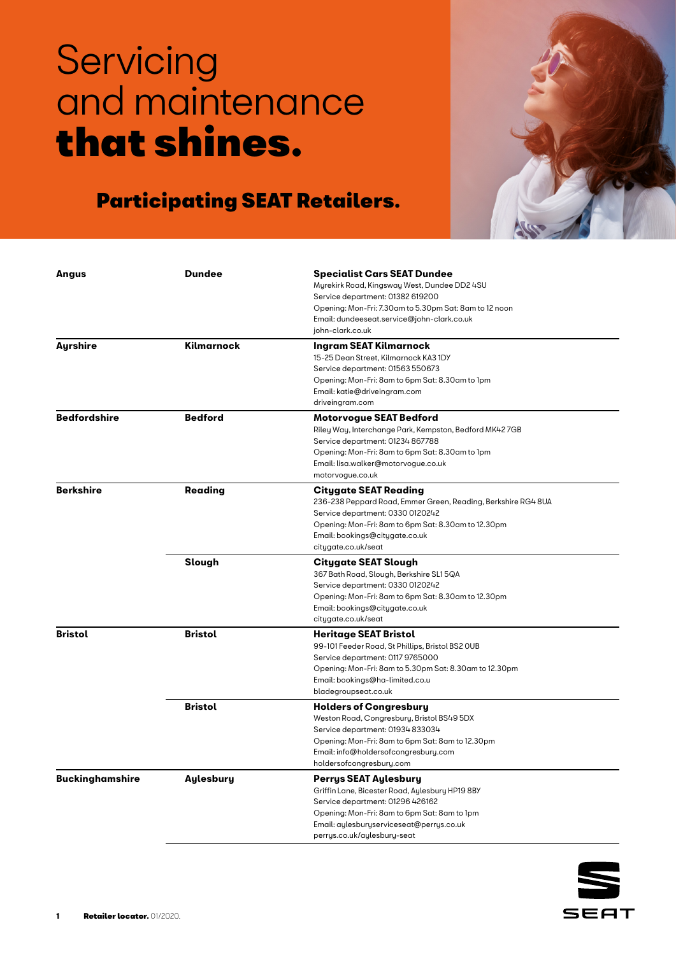

| Angus                  | <b>Dundee</b>    | Specialist Cars SEAT Dundee                                   |
|------------------------|------------------|---------------------------------------------------------------|
|                        |                  | Myrekirk Road, Kingsway West, Dundee DD2 4SU                  |
|                        |                  | Service department: 01382 619200                              |
|                        |                  | Opening: Mon-Fri: 7.30am to 5.30pm Sat: 8am to 12 noon        |
|                        |                  | Email: dundeeseat.service@john-clark.co.uk                    |
|                        |                  | john-clark.co.uk                                              |
| Ayrshire               | Kilmarnock       | Ingram SEAT Kilmarnock                                        |
|                        |                  | 15-25 Dean Street, Kilmarnock KA3 1DY                         |
|                        |                  | Service department: 01563 550673                              |
|                        |                  | Opening: Mon-Fri: 8am to 6pm Sat: 8.30am to 1pm               |
|                        |                  | Email: katie@driveingram.com                                  |
|                        |                  | driveingram.com                                               |
| <b>Bedfordshire</b>    | <b>Bedford</b>   | Motorvogue SEAT Bedford                                       |
|                        |                  | Riley Way, Interchange Park, Kempston, Bedford MK427GB        |
|                        |                  | Service department: 01234 867788                              |
|                        |                  | Opening: Mon-Fri: 8am to 6pm Sat: 8.30am to 1pm               |
|                        |                  | Email: lisa.walker@motorvogue.co.uk                           |
|                        |                  | motorvogue.co.uk                                              |
| <b>Berkshire</b>       | Reading          | <b>Citygate SEAT Reading</b>                                  |
|                        |                  | 236-238 Peppard Road, Emmer Green, Reading, Berkshire RG4 8UA |
|                        |                  | Service department: 0330 0120242                              |
|                        |                  | Opening: Mon-Fri: 8am to 6pm Sat: 8.30am to 12.30pm           |
|                        |                  | Email: bookings@citygate.co.uk                                |
|                        |                  | citygate.co.uk/seat                                           |
|                        | Slough           | Citygate SEAT Slough                                          |
|                        |                  | 367 Bath Road, Slough, Berkshire SL1 5QA                      |
|                        |                  | Service department: 0330 0120242                              |
|                        |                  | Opening: Mon-Fri: 8am to 6pm Sat: 8.30am to 12.30pm           |
|                        |                  | Email: bookings@citygate.co.uk                                |
|                        |                  | citygate.co.uk/seat                                           |
| <b>Bristol</b>         | <b>Bristol</b>   | <b>Heritage SEAT Bristol</b>                                  |
|                        |                  | 99-101 Feeder Road, St Phillips, Bristol BS2 OUB              |
|                        |                  | Service department: 0117 9765000                              |
|                        |                  | Opening: Mon-Fri: 8am to 5.30pm Sat: 8.30am to 12.30pm        |
|                        |                  | Email: bookings@ha-limited.co.u                               |
|                        |                  | bladegroupseat.co.uk                                          |
|                        | <b>Bristol</b>   | <b>Holders of Congresbury</b>                                 |
|                        |                  | Weston Road, Congresbury, Bristol BS49 5DX                    |
|                        |                  | Service department: 01934 833034                              |
|                        |                  | Opening: Mon-Fri: 8am to 6pm Sat: 8am to 12.30pm              |
|                        |                  | Email: info@holdersofcongresbury.com                          |
|                        |                  | holdersofcongresbury.com                                      |
| <b>Buckinghamshire</b> | <b>Aylesbury</b> | Perrys SEAT Aylesbury                                         |
|                        |                  | Griffin Lane, Bicester Road, Aylesbury HP19 8BY               |
|                        |                  | Service department: 01296 426162                              |
|                        |                  | Opening: Mon-Fri: 8am to 6pm Sat: 8am to 1pm                  |
|                        |                  | Email: aylesburyserviceseat@perrys.co.uk                      |
|                        |                  | perrys.co.uk/aylesbury-seat                                   |

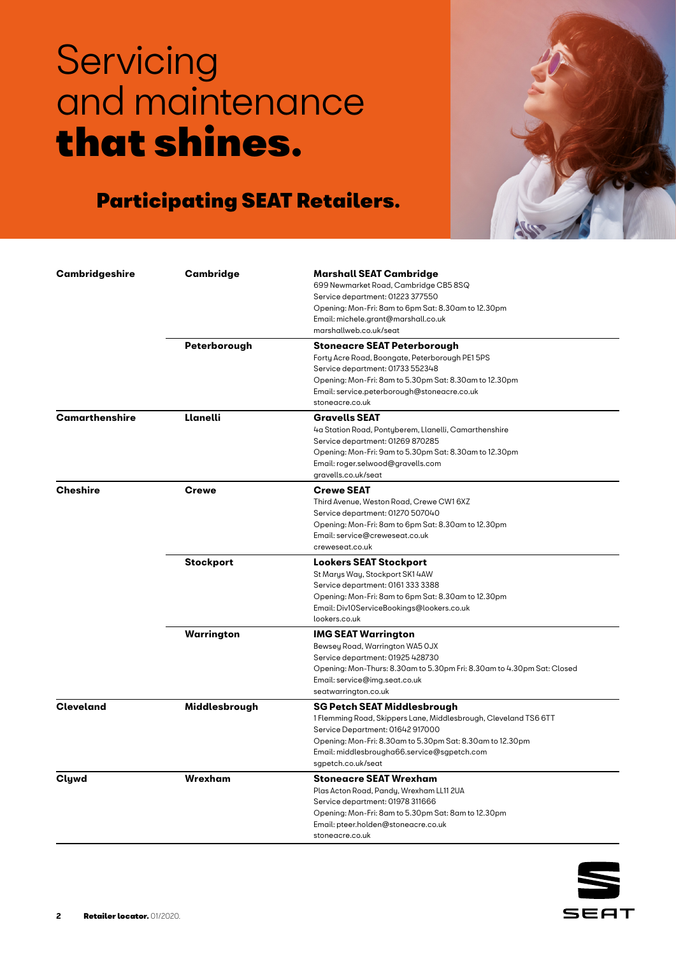

| Cambridgeshire   | Cambridge        | <b>Marshall SEAT Cambridge</b>                                         |
|------------------|------------------|------------------------------------------------------------------------|
|                  |                  | 699 Newmarket Road, Cambridge CB5 8SQ                                  |
|                  |                  | Service department: 01223 377550                                       |
|                  |                  | Opening: Mon-Fri: 8am to 6pm Sat: 8.30am to 12.30pm                    |
|                  |                  | Email: michele.grant@marshall.co.uk                                    |
|                  |                  | marshallweb.co.uk/seat                                                 |
|                  | Peterborough     | Stoneacre SEAT Peterborough                                            |
|                  |                  | Forty Acre Road, Boongate, Peterborough PE1 5PS                        |
|                  |                  | Service department: 01733 552348                                       |
|                  |                  | Opening: Mon-Fri: 8am to 5.30pm Sat: 8.30am to 12.30pm                 |
|                  |                  | Email: service.peterborough@stoneacre.co.uk                            |
|                  |                  | stoneacre.co.uk                                                        |
| Camarthenshire   | Llanelli         | <b>Gravells SEAT</b>                                                   |
|                  |                  | 4a Station Road, Pontyberem, Llanelli, Camarthenshire                  |
|                  |                  | Service department: 01269 870285                                       |
|                  |                  | Opening: Mon-Fri: 9am to 5.30pm Sat: 8.30am to 12.30pm                 |
|                  |                  | Email: roger.selwood@gravells.com                                      |
|                  |                  | gravells.co.uk/seat                                                    |
| <b>Cheshire</b>  | <b>Crewe</b>     | <b>Crewe SEAT</b>                                                      |
|                  |                  | Third Avenue, Weston Road, Crewe CW1 6XZ                               |
|                  |                  | Service department: 01270 507040                                       |
|                  |                  | Opening: Mon-Fri: 8am to 6pm Sat: 8.30am to 12.30pm                    |
|                  |                  | Email: service@creweseat.co.uk                                         |
|                  |                  | creweseat.co.uk                                                        |
|                  |                  |                                                                        |
|                  | <b>Stockport</b> | <b>Lookers SEAT Stockport</b>                                          |
|                  |                  | St Marys Way, Stockport SK1 4AW                                        |
|                  |                  | Service department: 0161 333 3388                                      |
|                  |                  | Opening: Mon-Fri: 8am to 6pm Sat: 8.30am to 12.30pm                    |
|                  |                  | Email: Div10ServiceBookings@lookers.co.uk                              |
|                  |                  | lookers.co.uk                                                          |
|                  | Warrington       | <b>IMG SEAT Warrington</b>                                             |
|                  |                  | Bewsey Road, Warrington WA5 OJX                                        |
|                  |                  | Service department: 01925 428730                                       |
|                  |                  | Opening: Mon-Thurs: 8.30am to 5.30pm Fri: 8.30am to 4.30pm Sat: Closed |
|                  |                  | Email: service@img.seat.co.uk                                          |
|                  |                  | seatwarrington.co.uk                                                   |
| <b>Cleveland</b> | Middlesbrough    | SG Petch SEAT Middlesbrough                                            |
|                  |                  | 1 Flemming Road, Skippers Lane, Middlesbrough, Cleveland TS6 6TT       |
|                  |                  | Service Department: 01642 917000                                       |
|                  |                  | Opening: Mon-Fri: 8.30am to 5.30pm Sat: 8.30am to 12.30pm              |
|                  |                  | Email: middlesbrougha66.service@sgpetch.com                            |
|                  |                  | sgpetch.co.uk/seat                                                     |
| Clywd            | Wrexham          | Stoneacre SEAT Wrexham                                                 |
|                  |                  | Plas Acton Road, Pandy, Wrexham LL11 2UA                               |
|                  |                  | Service department: 01978 311666                                       |
|                  |                  | Opening: Mon-Fri: 8am to 5.30pm Sat: 8am to 12.30pm                    |
|                  |                  | Email: pteer.holden@stoneacre.co.uk                                    |
|                  |                  | stoneacre.co.uk                                                        |

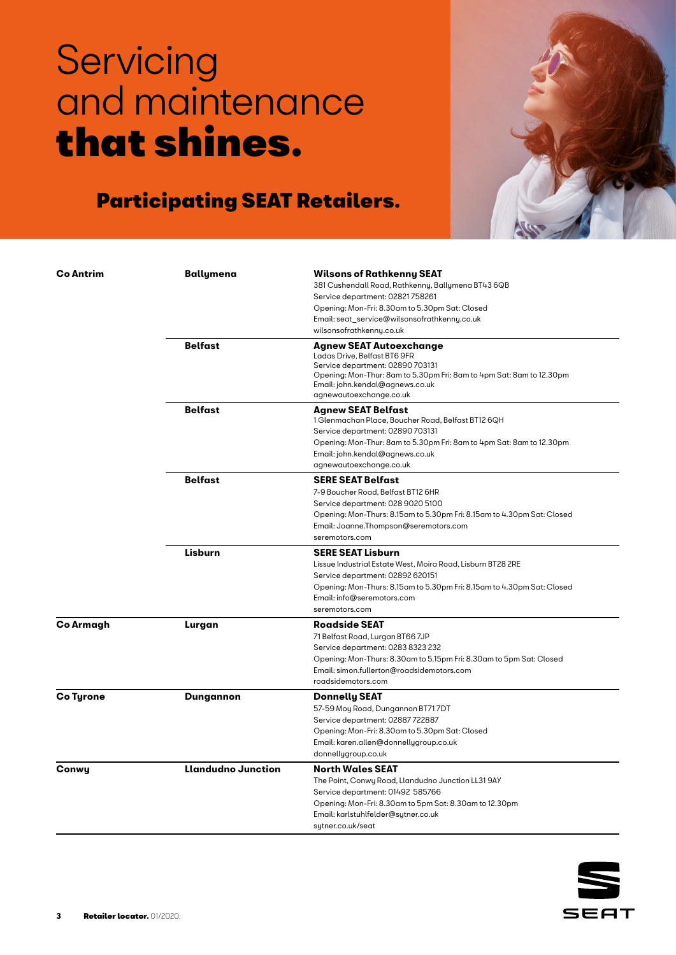

| <b>Co Antrim</b> | Ballymena                 | <b>Wilsons of Rathkenny SEAT</b><br>381 Cushendall Road, Rathkenny, Ballymena BT43 6QB<br>Service department: 02821758261<br>Opening: Mon-Fri: 8.30am to 5.30pm Sat: Closed<br>Email: seat_service@wilsonsofrathkenny.co.uk<br>wilsonsofrathkenny.co.uk   |
|------------------|---------------------------|-----------------------------------------------------------------------------------------------------------------------------------------------------------------------------------------------------------------------------------------------------------|
|                  | <b>Belfast</b>            | <b>Agnew SEAT Autoexchange</b><br>Ladas Drive, Belfast BT6 9FR<br>Service department: 02890 703131<br>Opening: Mon-Thur: 8am to 5.30pm Fri: 8am to 4pm Sat: 8am to 12.30pm<br>Email: john.kendal@agnews.co.uk<br>agnewautoexchange.co.uk                  |
|                  | <b>Belfast</b>            | <b>Agnew SEAT Belfast</b><br>1 Glenmachan Place, Boucher Road, Belfast BT12 6QH<br>Service department: 02890 703131<br>Opening: Mon-Thur: 8am to 5.30pm Fri: 8am to 4pm Sat: 8am to 12.30pm<br>Email: john.kendal@agnews.co.uk<br>agnewautoexchange.co.uk |
|                  | <b>Belfast</b>            | <b>SERE SEAT Belfast</b><br>7-9 Boucher Road, Belfast BT12 6HR<br>Service department: 028 9020 5100<br>Opening: Mon-Thurs: 8.15am to 5.30pm Fri: 8.15am to 4.30pm Sat: Closed<br>Email: Joanne.Thompson@seremotors.com<br>seremotors.com                  |
|                  | Lisburn                   | <b>SERE SEAT Lisburn</b><br>Lissue Industrial Estate West, Moira Road, Lisburn BT28 2RE<br>Service department: 02892 620151<br>Opening: Mon-Thurs: 8.15am to 5.30pm Fri: 8.15am to 4.30pm Sat: Closed<br>Email: info@seremotors.com<br>seremotors.com     |
| Co Armagh        | Lurgan                    | <b>Roadside SEAT</b><br>71 Belfast Road, Lurgan BT66 7JP<br>Service department: 0283 8323 232<br>Opening: Mon-Thurs: 8.30am to 5.15pm Fri: 8.30am to 5pm Sat: Closed<br>Email: simon.fullerton@roadsidemotors.com<br>roadsidemotors.com                   |
| Co Tyrone        | Dungannon                 | <b>Donnelly SEAT</b><br>57-59 Moy Road, Dungannon BT717DT<br>Service department: 02887722887<br>Opening: Mon-Fri: 8.30am to 5.30pm Sat: Closed<br>Email: karen.allen@donnellygroup.co.uk<br>donnellygroup.co.uk                                           |
| Conwy            | <b>Llandudno Junction</b> | <b>North Wales SEAT</b><br>The Point, Conwy Road, Llandudno Junction LL31 9AY<br>Service department: 01492 585766<br>Opening: Mon-Fri: 8.30am to 5pm Sat: 8.30am to 12.30pm<br>Email: karlstuhlfelder@sutner.co.uk<br>sutner.co.uk/seat                   |

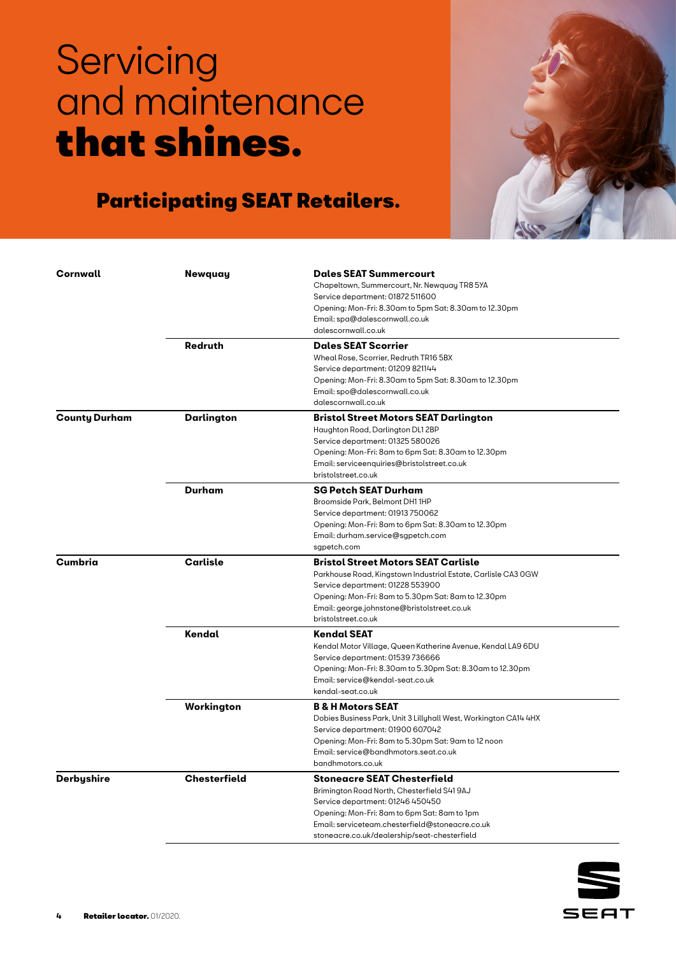

| Cornwall             | Newquay             | <b>Dales SEAT Summercourt</b>                                    |
|----------------------|---------------------|------------------------------------------------------------------|
|                      |                     | Chapeltown, Summercourt, Nr. Newquay TR8 5YA                     |
|                      |                     | Service department: 01872 511600                                 |
|                      |                     | Opening: Mon-Fri: 8.30am to 5pm Sat: 8.30am to 12.30pm           |
|                      |                     | Email: spa@dalescornwall.co.uk                                   |
|                      |                     | dalescornwall.co.uk                                              |
|                      | Redruth             | <b>Dales SEAT Scorrier</b>                                       |
|                      |                     | Wheal Rose, Scorrier, Redruth TR16 5BX                           |
|                      |                     | Service department: 01209 821144                                 |
|                      |                     | Opening: Mon-Fri: 8.30am to 5pm Sat: 8.30am to 12.30pm           |
|                      |                     | Email: spo@dalescornwall.co.uk                                   |
|                      |                     | dalescornwall.co.uk                                              |
| <b>County Durham</b> | Darlington          | <b>Bristol Street Motors SEAT Darlington</b>                     |
|                      |                     | Haughton Road, Darlington DL1 2BP                                |
|                      |                     | Service department: 01325 580026                                 |
|                      |                     | Opening: Mon-Fri: 8am to 6pm Sat: 8.30am to 12.30pm              |
|                      |                     | Email: serviceenquiries@bristolstreet.co.uk                      |
|                      |                     | bristolstreet.co.uk                                              |
|                      | <b>Durham</b>       | <b>SG Petch SEAT Durham</b>                                      |
|                      |                     | Broomside Park, Belmont DH1 1HP                                  |
|                      |                     | Service department: 01913 750062                                 |
|                      |                     | Opening: Mon-Fri: 8am to 6pm Sat: 8.30am to 12.30pm              |
|                      |                     | Email: durham.service@sgpetch.com                                |
|                      |                     | sgpetch.com                                                      |
| Cumbria              | Carlisle            | <b>Bristol Street Motors SEAT Carlisle</b>                       |
|                      |                     | Parkhouse Road, Kingstown Industrial Estate, Carlisle CA3 0GW    |
|                      |                     | Service department: 01228 553900                                 |
|                      |                     | Opening: Mon-Fri: 8am to 5.30pm Sat: 8am to 12.30pm              |
|                      |                     | Email: george.johnstone@bristolstreet.co.uk                      |
|                      |                     | bristolstreet.co.uk                                              |
|                      | Kendal              | Kendal SEAT                                                      |
|                      |                     | Kendal Motor Village, Queen Katherine Avenue, Kendal LA9 6DU     |
|                      |                     | Service department: 01539 736666                                 |
|                      |                     | Opening: Mon-Fri: 8.30am to 5.30pm Sat: 8.30am to 12.30pm        |
|                      |                     | Email: service@kendal-seat.co.uk                                 |
|                      |                     | kendal-seat.co.uk                                                |
|                      | Workington          | <b>B &amp; H Motors SEAT</b>                                     |
|                      |                     | Dobies Business Park, Unit 3 Lillyhall West, Workington CA14 4HX |
|                      |                     | Service department: 01900 607042                                 |
|                      |                     | Opening: Mon-Fri: 8am to 5.30pm Sat: 9am to 12 noon              |
|                      |                     | Email: service@bandhmotors.seat.co.uk                            |
|                      |                     | bandhmotors.co.uk                                                |
| Derbyshire           | <b>Chesterfield</b> | <b>Stoneacre SEAT Chesterfield</b>                               |
|                      |                     | Brimington Road North, Chesterfield S41 9AJ                      |
|                      |                     | Service department: 01246 450450                                 |
|                      |                     | Opening: Mon-Fri: 8am to 6pm Sat: 8am to 1pm                     |
|                      |                     | Email: serviceteam.chesterfield@stoneacre.co.uk                  |
|                      |                     | stonegcre.co.uk/deglership/segt-chesterfield                     |

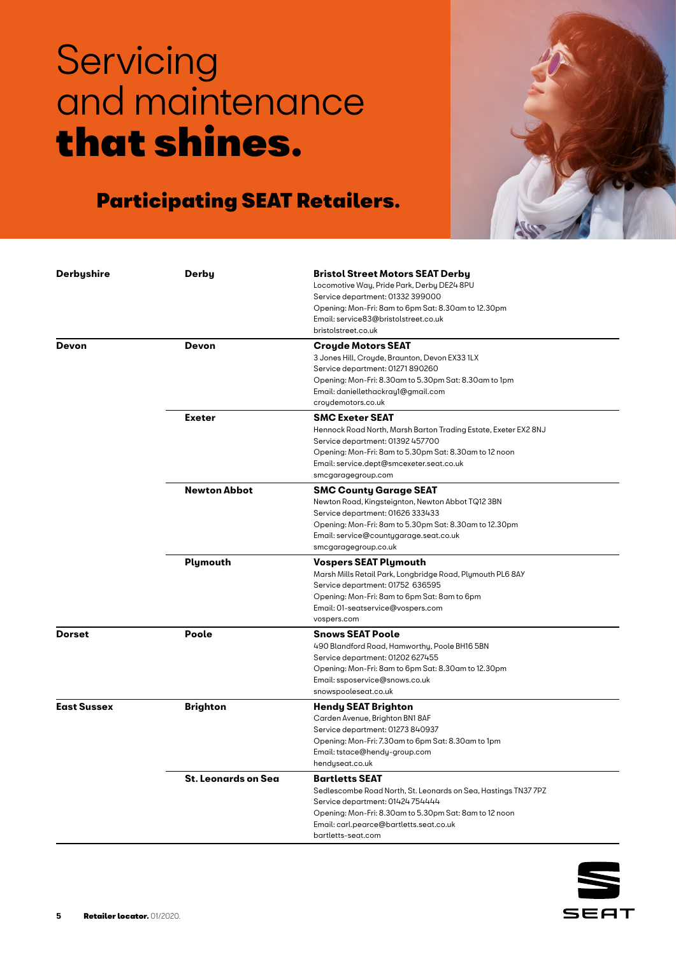

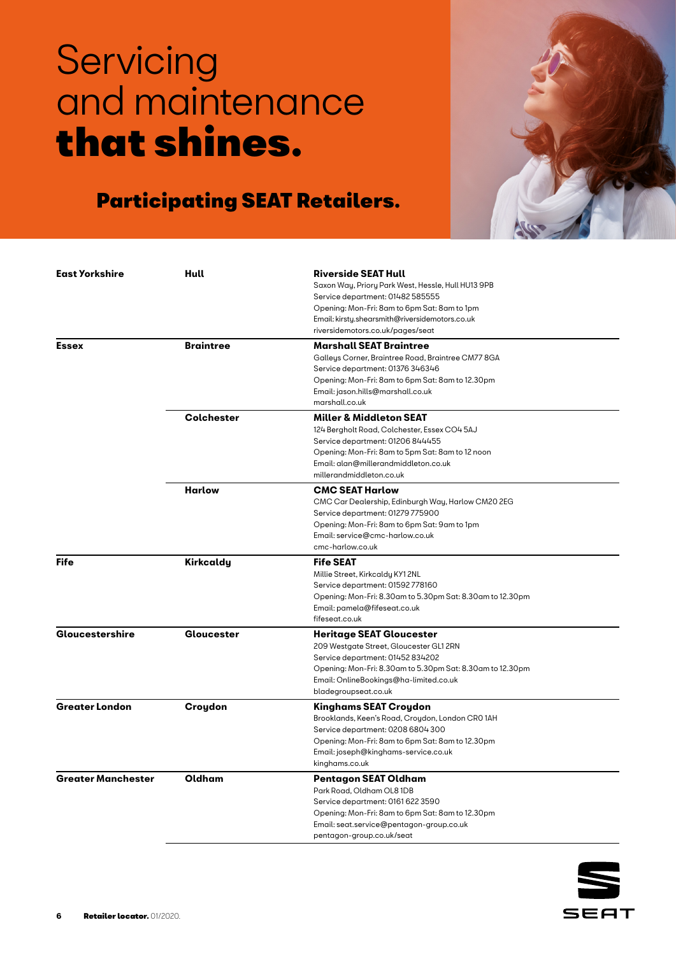

| <b>East Yorkshire</b>     | Hull              | <b>Riverside SEAT Hull</b>                                |
|---------------------------|-------------------|-----------------------------------------------------------|
|                           |                   | Saxon Way, Priory Park West, Hessle, Hull HU13 9PB        |
|                           |                   | Service department: 01482 585555                          |
|                           |                   | Opening: Mon-Fri: 8am to 6pm Sat: 8am to 1pm              |
|                           |                   | Email: kirsty.shearsmith@riversidemotors.co.uk            |
|                           |                   | riversidemotors.co.uk/pages/seat                          |
| <b>Essex</b>              | <b>Braintree</b>  | <b>Marshall SEAT Braintree</b>                            |
|                           |                   | Galleys Corner, Braintree Road, Braintree CM77 8GA        |
|                           |                   | Service department: 01376 346346                          |
|                           |                   | Opening: Mon-Fri: 8am to 6pm Sat: 8am to 12.30pm          |
|                           |                   | Email: jason.hills@marshall.co.uk                         |
|                           |                   | marshall.co.uk                                            |
|                           | <b>Colchester</b> | <b>Miller &amp; Middleton SEAT</b>                        |
|                           |                   | 124 Bergholt Road, Colchester, Essex CO4 5AJ              |
|                           |                   | Service department: 01206 844455                          |
|                           |                   | Opening: Mon-Fri: 8am to 5pm Sat: 8am to 12 noon          |
|                           |                   | Email: alan@millerandmiddleton.co.uk                      |
|                           |                   | millerandmiddleton.co.uk                                  |
|                           |                   |                                                           |
|                           | <b>Harlow</b>     | <b>CMC SEAT Harlow</b>                                    |
|                           |                   | CMC Car Dealership, Edinburgh Way, Harlow CM20 2EG        |
|                           |                   | Service department: 01279 775900                          |
|                           |                   | Opening: Mon-Fri: 8am to 6pm Sat: 9am to 1pm              |
|                           |                   | Email: service@cmc-harlow.co.uk                           |
|                           |                   | cmc-harlow.co.uk                                          |
| Fife                      | Kirkcaldy         | <b>Fife SEAT</b>                                          |
|                           |                   | Millie Street, Kirkcaldy KY1 2NL                          |
|                           |                   | Service department: 01592 778160                          |
|                           |                   | Opening: Mon-Fri: 8.30am to 5.30pm Sat: 8.30am to 12.30pm |
|                           |                   | Email: pamela@fifeseat.co.uk                              |
|                           |                   | fifeseat.co.uk                                            |
| Gloucestershire           | Gloucester        | <b>Heritage SEAT Gloucester</b>                           |
|                           |                   | 209 Westgate Street, Gloucester GL1 2RN                   |
|                           |                   | Service department: 01452 834202                          |
|                           |                   | Opening: Mon-Fri: 8.30am to 5.30pm Sat: 8.30am to 12.30pm |
|                           |                   | Email: OnlineBookings@ha-limited.co.uk                    |
|                           |                   | bladegroupseat.co.uk                                      |
| <b>Greater London</b>     | Croydon           | Kinghams SEAT Croydon                                     |
|                           |                   | Brooklands, Keen's Road, Croydon, London CRO 1AH          |
|                           |                   | Service department: 0208 6804 300                         |
|                           |                   | Opening: Mon-Fri: 8am to 6pm Sat: 8am to 12.30pm          |
|                           |                   | Email: joseph@kinghams-service.co.uk                      |
|                           |                   | kinghams.co.uk                                            |
| <b>Greater Manchester</b> | Oldham            | Pentagon SEAT Oldham                                      |
|                           |                   | Park Road, Oldham OL8 1DB                                 |
|                           |                   | Service department: 0161 622 3590                         |
|                           |                   |                                                           |
|                           |                   | Opening: Mon-Fri: 8am to 6pm Sat: 8am to 12.30pm          |
|                           |                   | Email: seat.service@pentagon-group.co.uk                  |

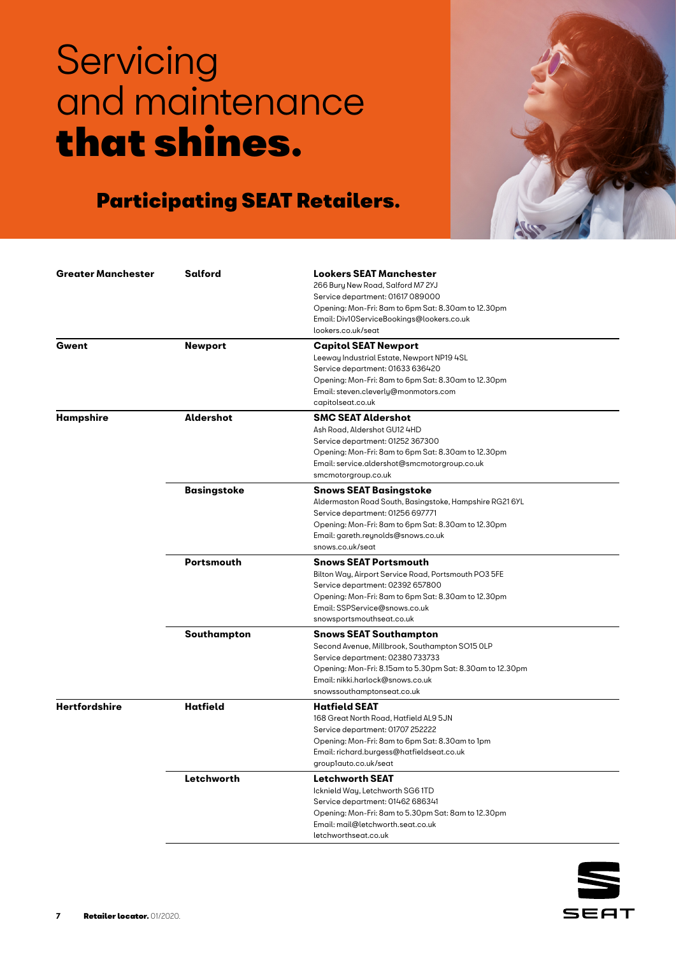

| <b>Greater Manchester</b> | <b>Salford</b>     | <b>Lookers SEAT Manchester</b>                            |  |
|---------------------------|--------------------|-----------------------------------------------------------|--|
|                           |                    | 266 Bury New Road, Salford M7 2YJ                         |  |
|                           |                    | Service department: 01617 089000                          |  |
|                           |                    | Opening: Mon-Fri: 8am to 6pm Sat: 8.30am to 12.30pm       |  |
|                           |                    | Email: Div10ServiceBookings@lookers.co.uk                 |  |
|                           |                    | lookers.co.uk/seat                                        |  |
| Gwent                     | <b>Newport</b>     | <b>Capitol SEAT Newport</b>                               |  |
|                           |                    | Leeway Industrial Estate, Newport NP19 4SL                |  |
|                           |                    | Service department: 01633 636420                          |  |
|                           |                    | Opening: Mon-Fri: 8am to 6pm Sat: 8.30am to 12.30pm       |  |
|                           |                    | Email: steven.cleverly@monmotors.com                      |  |
|                           |                    | capitolseat.co.uk                                         |  |
| Hampshire                 | Aldershot          | <b>SMC SEAT Aldershot</b>                                 |  |
|                           |                    | Ash Road, Aldershot GU12 4HD                              |  |
|                           |                    | Service department: 01252 367300                          |  |
|                           |                    | Opening: Mon-Fri: 8am to 6pm Sat: 8.30am to 12.30pm       |  |
|                           |                    | Email: service.aldershot@smcmotorgroup.co.uk              |  |
|                           |                    | smcmotorgroup.co.uk                                       |  |
|                           | <b>Basingstoke</b> | <b>Snows SEAT Basingstoke</b>                             |  |
|                           |                    | Aldermaston Road South, Basingstoke, Hampshire RG21 6YL   |  |
|                           |                    | Service department: 01256 697771                          |  |
|                           |                    | Opening: Mon-Fri: 8am to 6pm Sat: 8.30am to 12.30pm       |  |
|                           |                    | Email: gareth.reynolds@snows.co.uk                        |  |
|                           |                    | snows.co.uk/seat                                          |  |
|                           | <b>Portsmouth</b>  | <b>Snows SEAT Portsmouth</b>                              |  |
|                           |                    | Bilton Way, Airport Service Road, Portsmouth PO3 5FE      |  |
|                           |                    | Service department: 02392 657800                          |  |
|                           |                    | Opening: Mon-Fri: 8am to 6pm Sat: 8.30am to 12.30pm       |  |
|                           |                    | Email: SSPService@snows.co.uk                             |  |
|                           |                    | snowsportsmouthseat.co.uk                                 |  |
|                           | Southampton        | <b>Snows SEAT Southampton</b>                             |  |
|                           |                    | Second Avenue, Millbrook, Southampton SO15 OLP            |  |
|                           |                    | Service department: 02380 733733                          |  |
|                           |                    | Opening: Mon-Fri: 8.15am to 5.30pm Sat: 8.30am to 12.30pm |  |
|                           |                    | Email: nikki.harlock@snows.co.uk                          |  |
|                           |                    | snowssouthamptonseat.co.uk                                |  |
| <b>Hertfordshire</b>      | <b>Hatfield</b>    | <b>Hatfield SEAT</b>                                      |  |
|                           |                    | 168 Great North Road, Hatfield AL9 5JN                    |  |
|                           |                    | Service department: 01707 252222                          |  |
|                           |                    | Opening: Mon-Fri: 8am to 6pm Sat: 8.30am to 1pm           |  |
|                           |                    | Email: richard.burgess@hatfieldseat.co.uk                 |  |
|                           |                    | group1auto.co.uk/seat                                     |  |
|                           | Letchworth         | <b>Letchworth SEAT</b>                                    |  |
|                           |                    | Icknield Way, Letchworth SG6 1TD                          |  |
|                           |                    | Service department: 01462 686341                          |  |
|                           |                    | Opening: Mon-Fri: 8am to 5.30pm Sat: 8am to 12.30pm       |  |
|                           |                    | Email: mail@letchworth.seat.co.uk                         |  |
|                           |                    |                                                           |  |

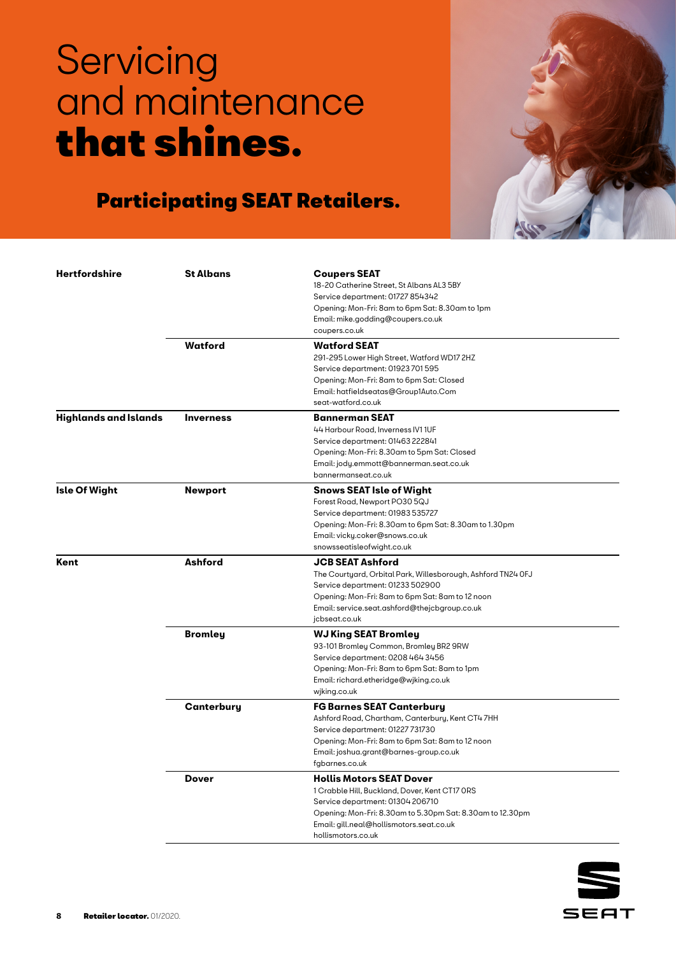

| Hertfordshire                | <b>St Albans</b> | <b>Coupers SEAT</b><br>18-20 Catherine Street, St Albans AL3 5BY<br>Service department: 01727 854342<br>Opening: Mon-Fri: 8am to 6pm Sat: 8.30am to 1pm<br>Email: mike.godding@coupers.co.uk<br>coupers.co.uk                                        |
|------------------------------|------------------|------------------------------------------------------------------------------------------------------------------------------------------------------------------------------------------------------------------------------------------------------|
|                              | Watford          | <b>Watford SEAT</b><br>291-295 Lower High Street, Watford WD17 2HZ<br>Service department: 01923 701 595<br>Opening: Mon-Fri: 8am to 6pm Sat: Closed<br>Email: hatfieldseatas@Group1Auto.Com<br>seat-watford.co.uk                                    |
| <b>Highlands and Islands</b> | <b>Inverness</b> | <b>Bannerman SEAT</b><br>44 Harbour Road, Inverness IV1 1UF<br>Service department: 01463 222841<br>Opening: Mon-Fri: 8.30am to 5pm Sat: Closed<br>Email: jody.emmott@bannerman.seat.co.uk<br>bannermanseat.co.uk                                     |
| Isle Of Wight                | Newport          | <b>Snows SEAT Isle of Wight</b><br>Forest Road, Newport PO30 5QJ<br>Service department: 01983 535727<br>Opening: Mon-Fri: 8.30am to 6pm Sat: 8.30am to 1.30pm<br>Email: vicky.coker@snows.co.uk<br>snowsseatisleofwight.co.uk                        |
| Kent                         | Ashford          | <b>JCB SEAT Ashford</b><br>The Courtyard, Orbital Park, Willesborough, Ashford TN24 OFJ<br>Service department: 01233 502900<br>Opening: Mon-Fri: 8am to 6pm Sat: 8am to 12 noon<br>Email: service.seat.ashford@thejcbgroup.co.uk<br>jcbseat.co.uk    |
|                              | Bromley          | <b>WJ King SEAT Bromley</b><br>93-101 Bromley Common, Bromley BR2 9RW<br>Service department: 0208 464 3456<br>Opening: Mon-Fri: 8am to 6pm Sat: 8am to 1pm<br>Email: richard.etheridge@wjking.co.uk<br>wjking.co.uk                                  |
|                              | Canterbury       | <b>FG Barnes SEAT Canterbury</b><br>Ashford Road, Chartham, Canterbury, Kent CT47HH<br>Service department: 01227 731730<br>Opening: Mon-Fri: 8am to 6pm Sat: 8am to 12 noon<br>Email: joshua.grant@barnes-group.co.uk<br>fgbarnes.co.uk              |
|                              | Dover            | <b>Hollis Motors SEAT Dover</b><br>1 Crabble Hill, Buckland, Dover, Kent CT17 ORS<br>Service department: 01304 206710<br>Opening: Mon-Fri: 8.30am to 5.30pm Sat: 8.30am to 12.30pm<br>Email: gill.neal@hollismotors.seat.co.uk<br>hollismotors.co.uk |

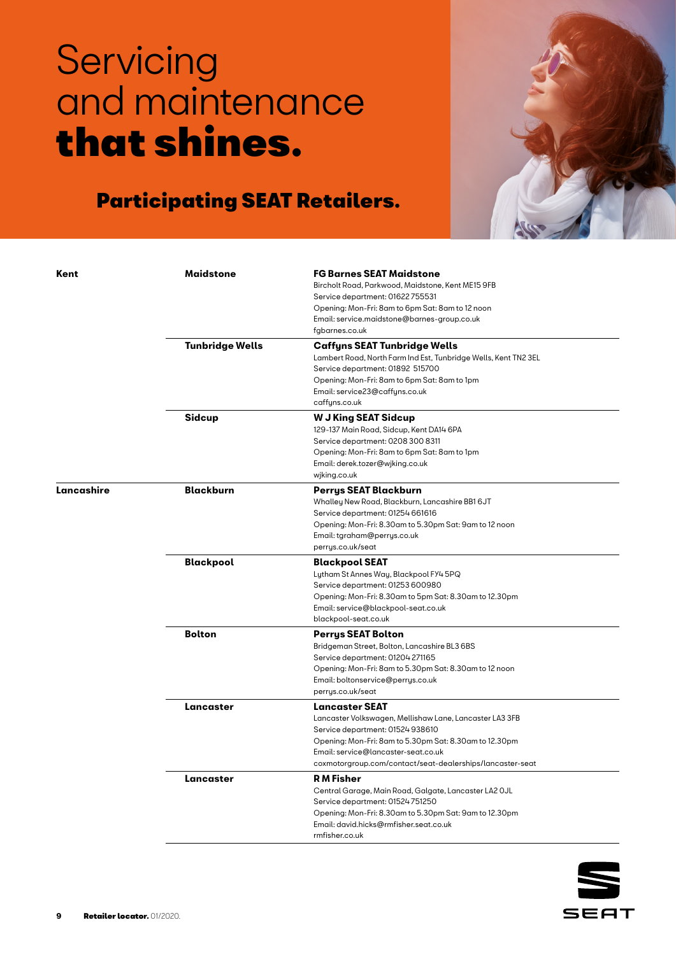

| Kent       | <b>Maidstone</b>       | <b>FG Barnes SEAT Maidstone</b><br>Bircholt Road, Parkwood, Maidstone, Kent ME15 9FB<br>Service department: 01622755531<br>Opening: Mon-Fri: 8am to 6pm Sat: 8am to 12 noon<br>Email: service.maidstone@barnes-group.co.uk<br>fgbarnes.co.uk                                       |
|------------|------------------------|------------------------------------------------------------------------------------------------------------------------------------------------------------------------------------------------------------------------------------------------------------------------------------|
|            | <b>Tunbridge Wells</b> | Caffyns SEAT Tunbridge Wells<br>Lambert Road, North Farm Ind Est, Tunbridge Wells, Kent TN2 3EL<br>Service department: 01892 515700<br>Opening: Mon-Fri: 8am to 6pm Sat: 8am to 1pm<br>Email: service23@caffyns.co.uk<br>caffyns.co.uk                                             |
|            | <b>Sidcup</b>          | <b>W J King SEAT Sidcup</b><br>129-137 Main Road, Sidcup, Kent DA14 6PA<br>Service department: 0208 300 8311<br>Opening: Mon-Fri: 8am to 6pm Sat: 8am to 1pm<br>Email: derek.tozer@wjking.co.uk<br>wiking.co.uk                                                                    |
| Lancashire | <b>Blackburn</b>       | Perrys SEAT Blackburn<br>Whalley New Road, Blackburn, Lancashire BB1 6JT<br>Service department: 01254 661616<br>Opening: Mon-Fri: 8.30am to 5.30pm Sat: 9am to 12 noon<br>Email: tgraham@perrys.co.uk<br>perrys.co.uk/seat                                                         |
|            | <b>Blackpool</b>       | <b>Blackpool SEAT</b><br>Lytham St Annes Way, Blackpool FY4 5PQ<br>Service department: 01253 600980<br>Opening: Mon-Fri: 8.30am to 5pm Sat: 8.30am to 12.30pm<br>Email: service@blackpool-seat.co.uk<br>blackpool-seat.co.uk                                                       |
|            | <b>Bolton</b>          | <b>Perrys SEAT Bolton</b><br>Bridgeman Street, Bolton, Lancashire BL3 6BS<br>Service department: 01204 271165<br>Opening: Mon-Fri: 8am to 5.30pm Sat: 8.30am to 12 noon<br>Email: boltonservice@perrys.co.uk<br>perrys.co.uk/seat                                                  |
|            | Lancaster              | <b>Lancaster SEAT</b><br>Lancaster Volkswagen, Mellishaw Lane, Lancaster LA3 3FB<br>Service department: 01524 938610<br>Opening: Mon-Fri: 8am to 5.30pm Sat: 8.30am to 12.30pm<br>Email: service@lancaster-seat.co.uk<br>coxmotorgroup.com/contact/seat-dealerships/lancaster-seat |
|            | Lancaster              | <b>RM</b> Fisher<br>Central Garage, Main Road, Galgate, Lancaster LA2 OJL<br>Service department: 01524 751250<br>Opening: Mon-Fri: 8.30am to 5.30pm Sat: 9am to 12.30pm<br>Email: david.hicks@rmfisher.seat.co.uk<br>rmfisher.co.uk                                                |

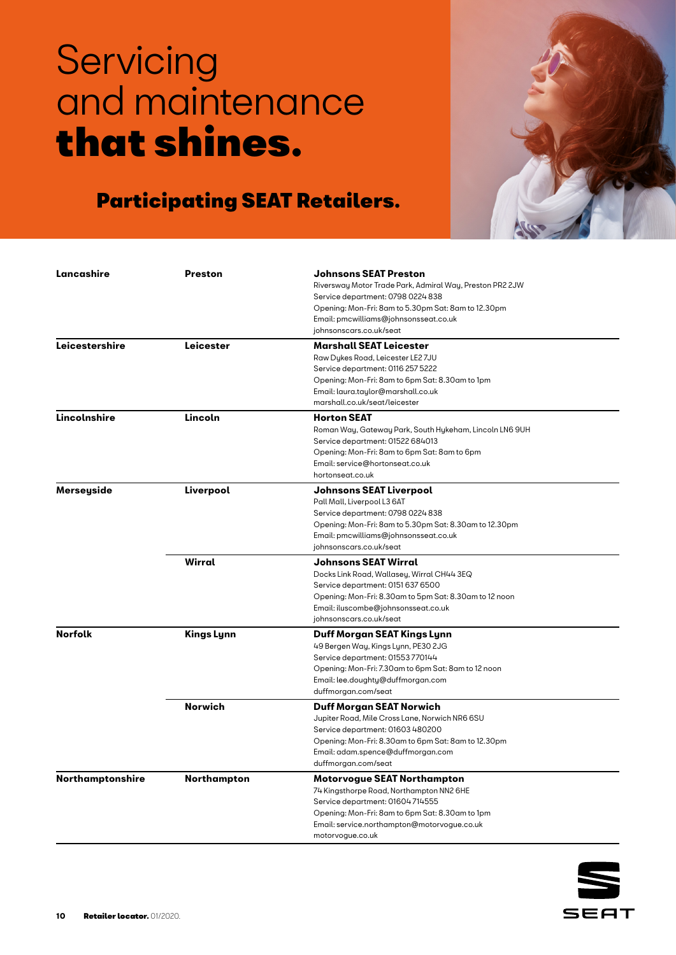

| Lancashire       | <b>Preston</b>    | <b>Johnsons SEAT Preston</b>                                               |
|------------------|-------------------|----------------------------------------------------------------------------|
|                  |                   | Riversway Motor Trade Park, Admiral Way, Preston PR2 2JW                   |
|                  |                   | Service department: 0798 0224 838                                          |
|                  |                   | Opening: Mon-Fri: 8am to 5.30pm Sat: 8am to 12.30pm                        |
|                  |                   | Email: pmcwilliams@johnsonsseat.co.uk                                      |
|                  |                   | johnsonscars.co.uk/seat                                                    |
|                  |                   |                                                                            |
| Leicestershire   | Leicester         | <b>Marshall SEAT Leicester</b>                                             |
|                  |                   | Raw Dykes Road, Leicester LE2 7JU                                          |
|                  |                   | Service department: 0116 257 5222                                          |
|                  |                   | Opening: Mon-Fri: 8am to 6pm Sat: 8.30am to 1pm                            |
|                  |                   | Email: laura.taylor@marshall.co.uk                                         |
|                  |                   | marshall.co.uk/seat/leicester                                              |
| Lincolnshire     | Lincoln           | <b>Horton SEAT</b>                                                         |
|                  |                   | Roman Way, Gateway Park, South Hykeham, Lincoln LN6 9UH                    |
|                  |                   | Service department: 01522 684013                                           |
|                  |                   | Opening: Mon-Fri: 8am to 6pm Sat: 8am to 6pm                               |
|                  |                   | Email: service@hortonseat.co.uk                                            |
|                  |                   | hortonseat.co.uk                                                           |
| Merseyside       | Liverpool         | <b>Johnsons SEAT Liverpool</b>                                             |
|                  |                   | Pall Mall, Liverpool L3 6AT                                                |
|                  |                   | Service department: 0798 0224 838                                          |
|                  |                   | Opening: Mon-Fri: 8am to 5.30pm Sat: 8.30am to 12.30pm                     |
|                  |                   | Email: pmcwilliams@johnsonsseat.co.uk                                      |
|                  |                   | johnsonscars.co.uk/seat                                                    |
|                  | Wirral            | <b>Johnsons SEAT Wirral</b>                                                |
|                  |                   | Docks Link Road, Wallasey, Wirral CH44 3EQ                                 |
|                  |                   | Service department: 0151 637 6500                                          |
|                  |                   | Opening: Mon-Fri: 8.30am to 5pm Sat: 8.30am to 12 noon                     |
|                  |                   | Email: iluscombe@johnsonsseat.co.uk                                        |
|                  |                   | johnsonscars.co.uk/seat                                                    |
| <b>Norfolk</b>   | <b>Kings Lynn</b> | Duff Morgan SEAT Kings Lynn                                                |
|                  |                   | 49 Bergen Way, Kings Lynn, PE30 2JG                                        |
|                  |                   | Service department: 01553 770144                                           |
|                  |                   | Opening: Mon-Fri: 7.30am to 6pm Sat: 8am to 12 noon                        |
|                  |                   | Email: lee.doughty@duffmorgan.com                                          |
|                  |                   | duffmorgan.com/seat                                                        |
|                  | <b>Norwich</b>    |                                                                            |
|                  |                   | Duff Morgan SEAT Norwich<br>Jupiter Road, Mile Cross Lane, Norwich NR6 6SU |
|                  |                   | Service department: 01603 480200                                           |
|                  |                   | Opening: Mon-Fri: 8.30am to 6pm Sat: 8am to 12.30pm                        |
|                  |                   | Email: adam.spence@duffmorgan.com                                          |
|                  |                   | duffmorgan.com/seat                                                        |
|                  |                   |                                                                            |
| Northamptonshire | Northampton       | Motorvogue SEAT Northampton                                                |
|                  |                   | 74 Kingsthorpe Road, Northampton NN2 6HE                                   |
|                  |                   | Service department: 01604714555                                            |
|                  |                   | Opening: Mon-Fri: 8am to 6pm Sat: 8.30am to 1pm                            |
|                  |                   | Email: service.northampton@motorvogue.co.uk                                |
|                  |                   | motorvoque.co.uk                                                           |

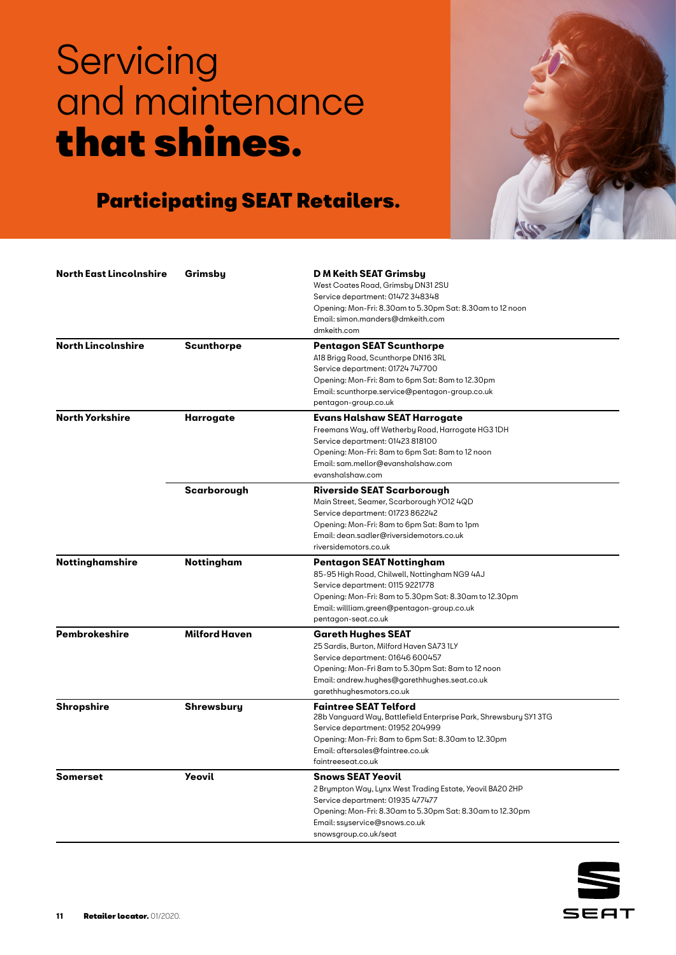

| <b>North East Lincolnshire</b> | Grimsby              | D M Keith SEAT Grimsby<br>West Coates Road, Grimsby DN31 2SU<br>Service department: 01472 348348<br>Opening: Mon-Fri: 8.30am to 5.30pm Sat: 8.30am to 12 noon<br>Email: simon.manders@dmkeith.com<br>dmkeith.com                                      |
|--------------------------------|----------------------|-------------------------------------------------------------------------------------------------------------------------------------------------------------------------------------------------------------------------------------------------------|
| <b>North Lincolnshire</b>      | <b>Scunthorpe</b>    | <b>Pentagon SEAT Scunthorpe</b><br>A18 Brigg Road, Scunthorpe DN16 3RL<br>Service department: 01724 747700<br>Opening: Mon-Fri: 8am to 6pm Sat: 8am to 12.30pm<br>Email: scunthorpe.service@pentagon-group.co.uk<br>pentagon-group.co.uk              |
| <b>North Yorkshire</b>         | Harrogate            | Evans Halshaw SEAT Harrogate<br>Freemans Way, off Wetherby Road, Harrogate HG3 1DH<br>Service department: 01423 818100<br>Opening: Mon-Fri: 8am to 6pm Sat: 8am to 12 noon<br>Email: sam.mellor@evanshalshaw.com<br>evanshalshaw.com                  |
|                                | Scarborough          | <b>Riverside SEAT Scarborough</b><br>Main Street, Seamer, Scarborough YO12 4QD<br>Service department: 01723 862242<br>Opening: Mon-Fri: 8am to 6pm Sat: 8am to 1pm<br>Email: dean.sadler@riversidemotors.co.uk<br>riversidemotors.co.uk               |
| Nottinghamshire                | <b>Nottingham</b>    | Pentagon SEAT Nottingham<br>85-95 High Road, Chilwell, Nottingham NG9 4AJ<br>Service department: 0115 9221778<br>Opening: Mon-Fri: 8am to 5.30pm Sat: 8.30am to 12.30pm<br>Email: willliam.green@pentagon-group.co.uk<br>pentagon-seat.co.uk          |
| <b>Pembrokeshire</b>           | <b>Milford Haven</b> | <b>Gareth Hughes SEAT</b><br>25 Sardis, Burton, Milford Haven SA73 1LY<br>Service department: 01646 600457<br>Opening: Mon-Fri 8am to 5.30pm Sat: 8am to 12 noon<br>Email: andrew.hughes@garethhughes.seat.co.uk<br>garethhughesmotors.co.uk          |
| <b>Shropshire</b>              | Shrewsbury           | <b>Faintree SEAT Telford</b><br>28b Vanguard Way, Battlefield Enterprise Park, Shrewsbury SY13TG<br>Service department: 01952 204999<br>Opening: Mon-Fri: 8am to 6pm Sat: 8.30am to 12.30pm<br>Email: aftersales@faintree.co.uk<br>faintreeseat.co.uk |
| Somerset                       | <b>Yeovil</b>        | <b>Snows SEAT Yeovil</b><br>2 Brympton Way, Lynx West Trading Estate, Yeovil BA20 2HP<br>Service department: 01935 477477<br>Opening: Mon-Fri: 8.30am to 5.30pm Sat: 8.30am to 12.30pm<br>Email: ssyservice@snows.co.uk<br>snowsgroup.co.uk/seat      |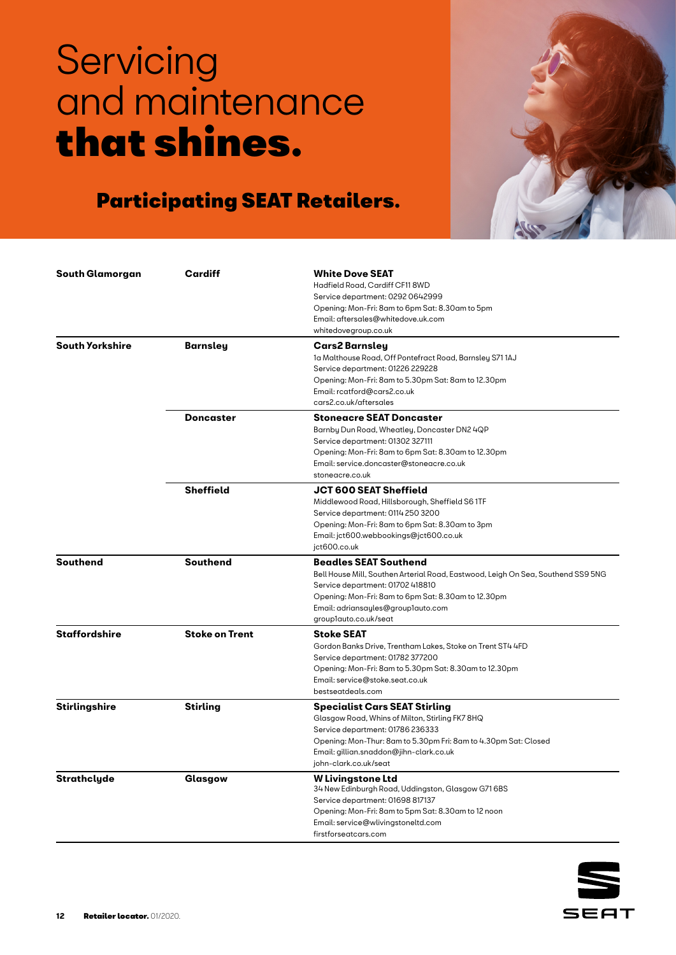

| South Glamorgan        | <b>Cardiff</b>        | <b>White Dove SEAT</b>                                                           |
|------------------------|-----------------------|----------------------------------------------------------------------------------|
|                        |                       | Hadfield Road, Cardiff CF11 8WD                                                  |
|                        |                       | Service department: 0292 0642999                                                 |
|                        |                       | Opening: Mon-Fri: 8am to 6pm Sat: 8.30am to 5pm                                  |
|                        |                       | Email: aftersales@whitedove.uk.com                                               |
|                        |                       | whitedovegroup.co.uk                                                             |
| <b>South Yorkshire</b> | <b>Barnsley</b>       | Cars2 Barnsley                                                                   |
|                        |                       | 1a Malthouse Road, Off Pontefract Road, Barnsley S71 1AJ                         |
|                        |                       | Service department: 01226 229228                                                 |
|                        |                       | Opening: Mon-Fri: 8am to 5.30pm Sat: 8am to 12.30pm                              |
|                        |                       | Email: rcatford@cars2.co.uk                                                      |
|                        |                       | cars2.co.uk/aftersales                                                           |
|                        | <b>Doncaster</b>      | <b>Stoneacre SEAT Doncaster</b>                                                  |
|                        |                       | Barnby Dun Road, Wheatley, Doncaster DN2 4QP                                     |
|                        |                       | Service department: 01302 327111                                                 |
|                        |                       | Opening: Mon-Fri: 8am to 6pm Sat: 8.30am to 12.30pm                              |
|                        |                       | Email: service.doncaster@stoneacre.co.uk                                         |
|                        |                       | stoneacre.co.uk                                                                  |
|                        | <b>Sheffield</b>      | JCT 600 SEAT Sheffield                                                           |
|                        |                       | Middlewood Road, Hillsborough, Sheffield S61TF                                   |
|                        |                       | Service department: 0114 250 3200                                                |
|                        |                       | Opening: Mon-Fri: 8am to 6pm Sat: 8.30am to 3pm                                  |
|                        |                       | Email: jct600.webbookings@jct600.co.uk                                           |
|                        |                       | jct600.co.uk                                                                     |
| <b>Southend</b>        | <b>Southend</b>       | <b>Beadles SEAT Southend</b>                                                     |
|                        |                       | Bell House Mill, Southen Arterial Road, Eastwood, Leigh On Sea, Southend SS9 5NG |
|                        |                       | Service department: 01702 418810                                                 |
|                        |                       | Opening: Mon-Fri: 8am to 6pm Sat: 8.30am to 12.30pm                              |
|                        |                       | Email: adriansayles@group1auto.com                                               |
|                        |                       | grouplauto.co.uk/seat                                                            |
| <b>Staffordshire</b>   | <b>Stoke on Trent</b> | <b>Stoke SEAT</b>                                                                |
|                        |                       | Gordon Banks Drive, Trentham Lakes, Stoke on Trent ST4 4FD                       |
|                        |                       | Service department: 01782 377200                                                 |
|                        |                       | Opening: Mon-Fri: 8am to 5.30pm Sat: 8.30am to 12.30pm                           |
|                        |                       | Email: service@stoke.seat.co.uk                                                  |
|                        |                       | bestseatdeals.com                                                                |
| Stirlingshire          | <b>Stirling</b>       | <b>Specialist Cars SEAT Stirling</b>                                             |
|                        |                       | Glasgow Road, Whins of Milton, Stirling FK7 8HQ                                  |
|                        |                       | Service department: 01786 236333                                                 |
|                        |                       | Opening: Mon-Thur: 8am to 5.30pm Fri: 8am to 4.30pm Sat: Closed                  |
|                        |                       | Email: gillian.snaddon@jihn-clark.co.uk                                          |
|                        |                       | john-clark.co.uk/seat                                                            |
| Strathclyde            | Glasgow               | <b>W</b> Livingstone Ltd                                                         |
|                        |                       | 34 New Edinburgh Road, Uddingston, Glasgow G71 6BS                               |
|                        |                       | Service department: 01698 817137                                                 |
|                        |                       | Opening: Mon-Fri: 8am to 5pm Sat: 8.30am to 12 noon                              |
|                        |                       | Email: service@wlivingstoneltd.com                                               |
|                        |                       | firstforseatcars.com                                                             |

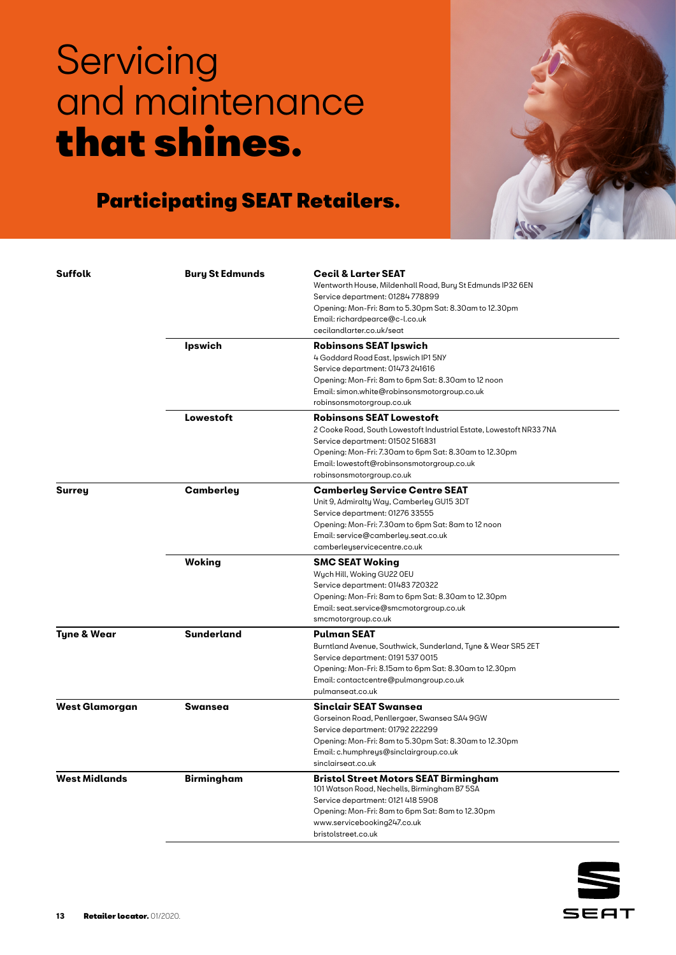

| <b>Suffolk</b>         | <b>Bury St Edmunds</b> | <b>Cecil &amp; Larter SEAT</b><br>Wentworth House, Mildenhall Road, Bury St Edmunds IP32 6EN |
|------------------------|------------------------|----------------------------------------------------------------------------------------------|
|                        |                        | Service department: 01284778899                                                              |
|                        |                        | Opening: Mon-Fri: 8am to 5.30pm Sat: 8.30am to 12.30pm                                       |
|                        |                        | Email: richardpearce@c-l.co.uk                                                               |
|                        |                        | cecilandlarter.co.uk/seat                                                                    |
|                        | <b>Ipswich</b>         | <b>Robinsons SEAT Ipswich</b>                                                                |
|                        |                        | 4 Goddard Road East, Ipswich IP1 5NY                                                         |
|                        |                        | Service department: 01473 241616                                                             |
|                        |                        | Opening: Mon-Fri: 8am to 6pm Sat: 8.30am to 12 noon                                          |
|                        |                        | Email: simon.white@robinsonsmotorgroup.co.uk                                                 |
|                        |                        | robinsonsmotorgroup.co.uk                                                                    |
|                        | Lowestoft              | <b>Robinsons SEAT Lowestoft</b>                                                              |
|                        |                        | 2 Cooke Road, South Lowestoft Industrial Estate, Lowestoft NR33 7NA                          |
|                        |                        | Service department: 01502 516831                                                             |
|                        |                        | Opening: Mon-Fri: 7.30am to 6pm Sat: 8.30am to 12.30pm                                       |
|                        |                        | Email: lowestoft@robinsonsmotorgroup.co.uk                                                   |
|                        |                        | robinsonsmotorgroup.co.uk                                                                    |
| <b>Surrey</b>          | Camberley              | <b>Camberley Service Centre SEAT</b>                                                         |
|                        |                        | Unit 9, Admiralty Way, Camberley GU15 3DT                                                    |
|                        |                        | Service department: 01276 33555                                                              |
|                        |                        | Opening: Mon-Fri: 7.30am to 6pm Sat: 8am to 12 noon                                          |
|                        |                        | Email: service@camberley.seat.co.uk                                                          |
|                        |                        | camberleyservicecentre.co.uk                                                                 |
|                        | <b>Woking</b>          | <b>SMC SEAT Woking</b>                                                                       |
|                        |                        | Wych Hill, Woking GU22 OEU                                                                   |
|                        |                        | Service department: 01483720322                                                              |
|                        |                        | Opening: Mon-Fri: 8am to 6pm Sat: 8.30am to 12.30pm                                          |
|                        |                        | Email: seat.service@smcmotorgroup.co.uk                                                      |
|                        |                        | smcmotorgroup.co.uk                                                                          |
| <b>Tyne &amp; Wear</b> | <b>Sunderland</b>      | <b>Pulman SEAT</b>                                                                           |
|                        |                        | Burntland Avenue, Southwick, Sunderland, Tyne & Wear SR5 2ET                                 |
|                        |                        | Service department: 0191 537 0015                                                            |
|                        |                        | Opening: Mon-Fri: 8.15am to 6pm Sat: 8.30am to 12.30pm                                       |
|                        |                        | Email: contactcentre@pulmangroup.co.uk                                                       |
|                        |                        | pulmanseat.co.uk                                                                             |
| <b>West Glamorgan</b>  | Swansea                | Sinclair SEAT Swansea                                                                        |
|                        |                        | Gorseinon Road, Penllergaer, Swansea SA4 9GW                                                 |
|                        |                        | Service department: 01792 222299                                                             |
|                        |                        | Opening: Mon-Fri: 8am to 5.30pm Sat: 8.30am to 12.30pm                                       |
|                        |                        | Email: c.humphreys@sinclairgroup.co.uk                                                       |
|                        |                        | sinclairseat.co.uk                                                                           |
| <b>West Midlands</b>   | <b>Birmingham</b>      | <b>Bristol Street Motors SEAT Birmingham</b>                                                 |
|                        |                        | 101 Watson Road, Nechells, Birmingham B7 5SA                                                 |
|                        |                        | Service department: 0121 418 5908                                                            |
|                        |                        | Opening: Mon-Fri: 8am to 6pm Sat: 8am to 12.30pm                                             |
|                        |                        | www.servicebooking247.co.uk                                                                  |
|                        |                        | bristolstreet.co.uk                                                                          |

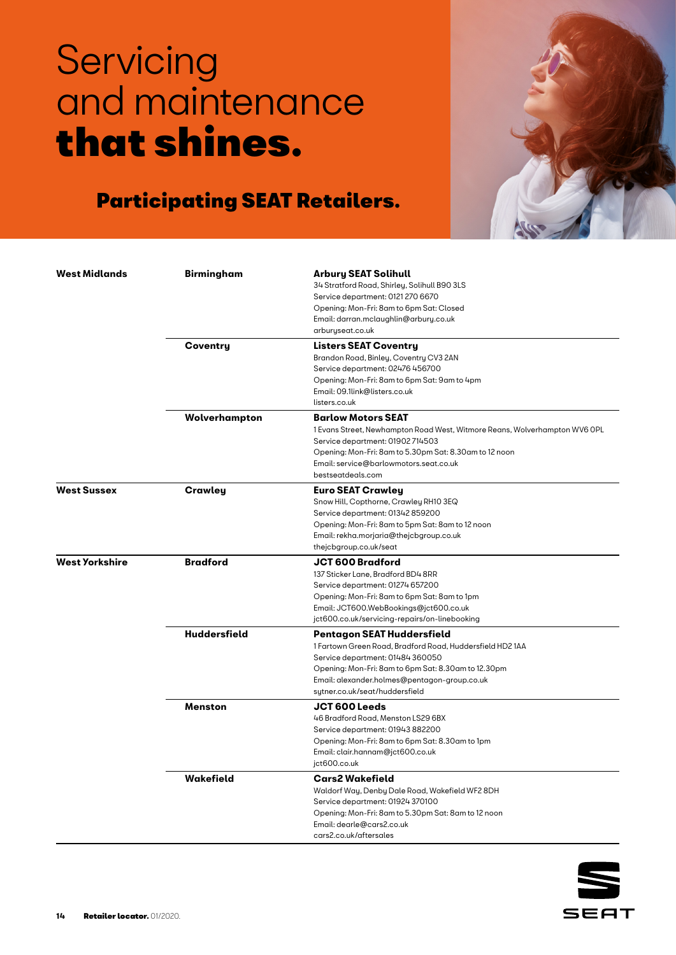

| <b>West Midlands</b>  | <b>Birmingham</b>   | <b>Arbury SEAT Solihull</b>                                                       |
|-----------------------|---------------------|-----------------------------------------------------------------------------------|
|                       |                     | 34 Stratford Road, Shirley, Solihull B90 3LS                                      |
|                       |                     | Service department: 0121 270 6670                                                 |
|                       |                     | Opening: Mon-Fri: 8am to 6pm Sat: Closed<br>Email: darran.mclaughlin@arbury.co.uk |
|                       |                     | arburyseat.co.uk                                                                  |
|                       | Coventry            | <b>Listers SEAT Coventry</b>                                                      |
|                       |                     | Brandon Road, Binley, Coventry CV3 2AN                                            |
|                       |                     | Service department: 02476 456700                                                  |
|                       |                     | Opening: Mon-Fri: 8am to 6pm Sat: 9am to 4pm                                      |
|                       |                     | Email: 09.1link@listers.co.uk                                                     |
|                       |                     | listers.co.uk                                                                     |
|                       | Wolverhampton       | <b>Barlow Motors SEAT</b>                                                         |
|                       |                     | 1 Evans Street, Newhampton Road West, Witmore Reans, Wolverhampton WV6 OPL        |
|                       |                     | Service department: 01902714503                                                   |
|                       |                     | Opening: Mon-Fri: 8am to 5.30pm Sat: 8.30am to 12 noon                            |
|                       |                     | Email: service@barlowmotors.seat.co.uk                                            |
|                       |                     | bestseatdeals.com                                                                 |
| <b>West Sussex</b>    | Crawley             | <b>Euro SEAT Crawley</b>                                                          |
|                       |                     | Snow Hill, Copthorne, Crawley RH10 3EQ                                            |
|                       |                     | Service department: 01342 859200                                                  |
|                       |                     | Opening: Mon-Fri: 8am to 5pm Sat: 8am to 12 noon                                  |
|                       |                     | Email: rekha.morjaria@thejcbgroup.co.uk                                           |
|                       |                     | thejcbgroup.co.uk/seat                                                            |
| <b>West Yorkshire</b> | <b>Bradford</b>     | <b>JCT 600 Bradford</b>                                                           |
|                       |                     | 137 Sticker Lane, Bradford BD4 8RR                                                |
|                       |                     | Service department: 01274 657200                                                  |
|                       |                     | Opening: Mon-Fri: 8am to 6pm Sat: 8am to 1pm                                      |
|                       |                     | Email: JCT600.WebBookings@jct600.co.uk                                            |
|                       |                     | jct600.co.uk/servicing-repairs/on-linebooking                                     |
|                       | <b>Huddersfield</b> | Pentagon SEAT Huddersfield                                                        |
|                       |                     | 1 Fartown Green Road, Bradford Road, Huddersfield HD2 1AA                         |
|                       |                     | Service department: 01484 360050                                                  |
|                       |                     | Opening: Mon-Fri: 8am to 6pm Sat: 8.30am to 12.30pm                               |
|                       |                     | Email: alexander.holmes@pentagon-group.co.uk<br>sytner.co.uk/seat/huddersfield    |
|                       | <b>Menston</b>      | <b>JCT 600 Leeds</b>                                                              |
|                       |                     | 46 Bradford Road, Menston LS29 6BX                                                |
|                       |                     | Service department: 01943 882200                                                  |
|                       |                     | Opening: Mon-Fri: 8am to 6pm Sat: 8.30am to 1pm                                   |
|                       |                     | Email: clair.hannam@jct600.co.uk                                                  |
|                       |                     | jct600.co.uk                                                                      |
|                       | Wakefield           | <b>Cars2 Wakefield</b>                                                            |
|                       |                     | Waldorf Way, Denby Dale Road, Wakefield WF2 8DH                                   |
|                       |                     | Service department: 01924 370100                                                  |
|                       |                     | Opening: Mon-Fri: 8am to 5.30pm Sat: 8am to 12 noon                               |
|                       |                     | Email: dearle@cars2.co.uk                                                         |
|                       |                     | cars2.co.uk/aftersales                                                            |